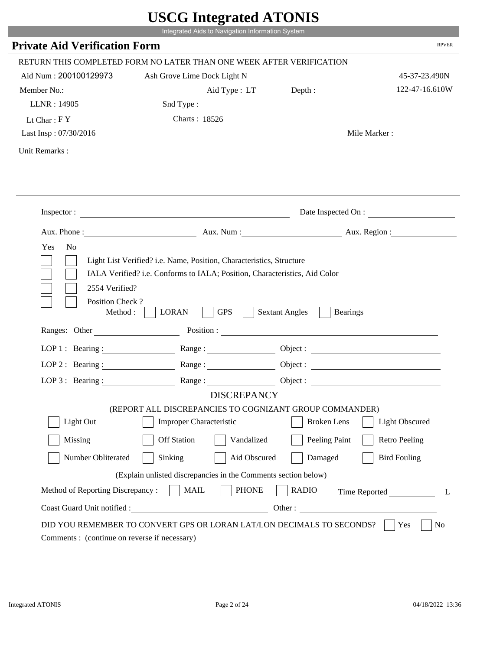|                                                            | UDUU IIIIU ARUU ATUNID<br>Integrated Aids to Navigation Information System                                                                         |                                                                                                                                                                                                                                |                        |
|------------------------------------------------------------|----------------------------------------------------------------------------------------------------------------------------------------------------|--------------------------------------------------------------------------------------------------------------------------------------------------------------------------------------------------------------------------------|------------------------|
| <b>Private Aid Verification Form</b>                       |                                                                                                                                                    |                                                                                                                                                                                                                                | <b>RPVER</b>           |
|                                                            | RETURN THIS COMPLETED FORM NO LATER THAN ONE WEEK AFTER VERIFICATION                                                                               |                                                                                                                                                                                                                                |                        |
| Aid Num: 200100129973                                      | Ash Grove Lime Dock Light N                                                                                                                        |                                                                                                                                                                                                                                | 45-37-23.490N          |
| Member No.:                                                | Aid Type : LT Depth :                                                                                                                              |                                                                                                                                                                                                                                | 122-47-16.610W         |
| LLNR: 14905                                                | Snd Type:                                                                                                                                          |                                                                                                                                                                                                                                |                        |
| Lt Char: $FY$                                              | Charts: 18526                                                                                                                                      |                                                                                                                                                                                                                                |                        |
| Last Insp: 07/30/2016                                      |                                                                                                                                                    |                                                                                                                                                                                                                                | Mile Marker:           |
| Unit Remarks:                                              |                                                                                                                                                    |                                                                                                                                                                                                                                |                        |
|                                                            |                                                                                                                                                    |                                                                                                                                                                                                                                |                        |
|                                                            | Inspector:                                                                                                                                         |                                                                                                                                                                                                                                | Date Inspected On :    |
| Aux. Phone :                                               |                                                                                                                                                    |                                                                                                                                                                                                                                | Aux. Num: Aux. Region: |
| Yes<br>N <sub>o</sub><br>2554 Verified?<br>Position Check? | Light List Verified? i.e. Name, Position, Characteristics, Structure<br>IALA Verified? i.e. Conforms to IALA; Position, Characteristics, Aid Color |                                                                                                                                                                                                                                |                        |
| Method:<br>Ranges: Other                                   | <b>GPS</b><br><b>LORAN</b>                                                                                                                         | <b>Sextant Angles</b><br><b>Bearings</b>                                                                                                                                                                                       |                        |
|                                                            |                                                                                                                                                    | Position : The Contract of the Contract of the Contract of the Contract of the Contract of the Contract of the Contract of the Contract of the Contract of the Contract of the Contract of the Contract of the Contract of the |                        |
| LOP 1 : Bearing : $\qquad \qquad$                          |                                                                                                                                                    |                                                                                                                                                                                                                                |                        |
| $LOP$ 2 : Bearing :                                        | Range :                                                                                                                                            |                                                                                                                                                                                                                                |                        |
| LOP $3$ : Bearing :                                        | Range:<br><b>DISCREPANCY</b>                                                                                                                       |                                                                                                                                                                                                                                |                        |
|                                                            | (REPORT ALL DISCREPANCIES TO COGNIZANT GROUP COMMANDER)                                                                                            |                                                                                                                                                                                                                                |                        |
| Light Out                                                  | <b>Improper Characteristic</b>                                                                                                                     | <b>Broken</b> Lens                                                                                                                                                                                                             | <b>Light Obscured</b>  |
| Missing                                                    | <b>Off Station</b><br>Vandalized                                                                                                                   | Peeling Paint                                                                                                                                                                                                                  | <b>Retro Peeling</b>   |
| Number Obliterated                                         | Sinking<br>Aid Obscured                                                                                                                            | Damaged                                                                                                                                                                                                                        | <b>Bird Fouling</b>    |
|                                                            | (Explain unlisted discrepancies in the Comments section below)                                                                                     |                                                                                                                                                                                                                                |                        |
| Method of Reporting Discrepancy:                           | <b>PHONE</b><br><b>MAIL</b>                                                                                                                        | <b>RADIO</b>                                                                                                                                                                                                                   | Time Reported<br>L     |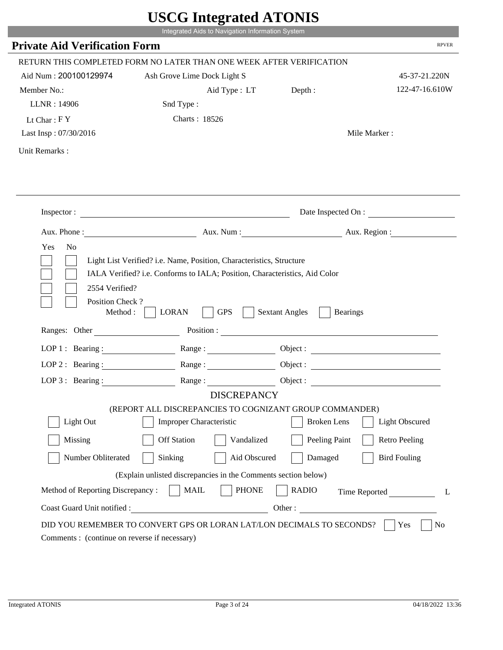|                                                            | UDUU IIIIU ARUU ATUNID<br>Integrated Aids to Navigation Information System                                                                         |                                                                                                                                                                                                                                                                            |                        |
|------------------------------------------------------------|----------------------------------------------------------------------------------------------------------------------------------------------------|----------------------------------------------------------------------------------------------------------------------------------------------------------------------------------------------------------------------------------------------------------------------------|------------------------|
| <b>Private Aid Verification Form</b>                       |                                                                                                                                                    |                                                                                                                                                                                                                                                                            | <b>RPVER</b>           |
|                                                            | RETURN THIS COMPLETED FORM NO LATER THAN ONE WEEK AFTER VERIFICATION                                                                               |                                                                                                                                                                                                                                                                            |                        |
| Aid Num: 200100129974                                      | Ash Grove Lime Dock Light S                                                                                                                        |                                                                                                                                                                                                                                                                            | 45-37-21.220N          |
| Member No.:                                                | Aid Type : LT Depth :                                                                                                                              |                                                                                                                                                                                                                                                                            | 122-47-16.610W         |
| LLNR: 14906                                                | Snd Type:                                                                                                                                          |                                                                                                                                                                                                                                                                            |                        |
| Lt Char: $FY$                                              | Charts: 18526                                                                                                                                      |                                                                                                                                                                                                                                                                            |                        |
| Last Insp: 07/30/2016                                      |                                                                                                                                                    |                                                                                                                                                                                                                                                                            | Mile Marker:           |
| Unit Remarks:                                              |                                                                                                                                                    |                                                                                                                                                                                                                                                                            |                        |
|                                                            |                                                                                                                                                    |                                                                                                                                                                                                                                                                            |                        |
|                                                            | Inspector:                                                                                                                                         |                                                                                                                                                                                                                                                                            | Date Inspected On :    |
| Aux. Phone :                                               |                                                                                                                                                    |                                                                                                                                                                                                                                                                            | Aux. Num: Aux. Region: |
| Yes<br>N <sub>o</sub><br>2554 Verified?<br>Position Check? | Light List Verified? i.e. Name, Position, Characteristics, Structure<br>IALA Verified? i.e. Conforms to IALA; Position, Characteristics, Aid Color |                                                                                                                                                                                                                                                                            |                        |
| Method:<br>Ranges: Other                                   | <b>GPS</b><br><b>LORAN</b>                                                                                                                         | <b>Sextant Angles</b><br><b>Bearings</b><br>Position : The Contract of the Contract of the Contract of the Contract of the Contract of the Contract of the Contract of the Contract of the Contract of the Contract of the Contract of the Contract of the Contract of the |                        |
|                                                            |                                                                                                                                                    |                                                                                                                                                                                                                                                                            |                        |
| LOP 1 : Bearing :<br>$LOP$ 2 : Bearing :                   |                                                                                                                                                    |                                                                                                                                                                                                                                                                            | Object :               |
|                                                            | Range :                                                                                                                                            |                                                                                                                                                                                                                                                                            |                        |
| $LOP$ 3 : Bearing :                                        | Range:<br><b>DISCREPANCY</b>                                                                                                                       |                                                                                                                                                                                                                                                                            |                        |
|                                                            | (REPORT ALL DISCREPANCIES TO COGNIZANT GROUP COMMANDER)                                                                                            |                                                                                                                                                                                                                                                                            |                        |
| Light Out                                                  | <b>Improper Characteristic</b>                                                                                                                     | <b>Broken</b> Lens                                                                                                                                                                                                                                                         | <b>Light Obscured</b>  |
| Missing                                                    | <b>Off Station</b><br>Vandalized                                                                                                                   | Peeling Paint                                                                                                                                                                                                                                                              | <b>Retro Peeling</b>   |
| Number Obliterated                                         | Sinking<br>Aid Obscured                                                                                                                            | Damaged                                                                                                                                                                                                                                                                    | <b>Bird Fouling</b>    |
|                                                            | (Explain unlisted discrepancies in the Comments section below)                                                                                     |                                                                                                                                                                                                                                                                            |                        |
| Method of Reporting Discrepancy:                           | <b>PHONE</b><br><b>MAIL</b>                                                                                                                        | <b>RADIO</b>                                                                                                                                                                                                                                                               | Time Reported<br>L     |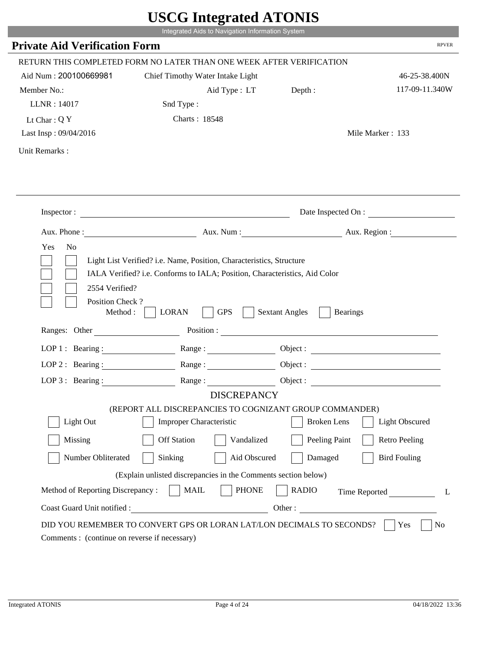|                                                                 | Integrated Aids to Navigation Information System                                                                                                   |                                          |                       |
|-----------------------------------------------------------------|----------------------------------------------------------------------------------------------------------------------------------------------------|------------------------------------------|-----------------------|
| <b>Private Aid Verification Form</b>                            |                                                                                                                                                    |                                          | <b>RPVER</b>          |
|                                                                 | RETURN THIS COMPLETED FORM NO LATER THAN ONE WEEK AFTER VERIFICATION                                                                               |                                          |                       |
| Aid Num: 200100669981                                           | Chief Timothy Water Intake Light                                                                                                                   |                                          | 46-25-38.400N         |
| Member No.:                                                     | Aid Type : LT                                                                                                                                      | Depth:                                   | 117-09-11.340W        |
| LLNR: 14017                                                     | Snd Type:                                                                                                                                          |                                          |                       |
| Lt Char: $QY$                                                   | <b>Charts: 18548</b>                                                                                                                               |                                          |                       |
| Last Insp: 09/04/2016                                           |                                                                                                                                                    |                                          | Mile Marker: 133      |
| Unit Remarks:                                                   |                                                                                                                                                    |                                          |                       |
|                                                                 |                                                                                                                                                    |                                          |                       |
|                                                                 | Inspector:                                                                                                                                         |                                          | Date Inspected On :   |
|                                                                 | Aux. Phone : Aux. Num : Aux. Num : Aux. Aux. Region :                                                                                              |                                          |                       |
| Yes<br>N <sub>o</sub><br>2554 Verified?                         | Light List Verified? i.e. Name, Position, Characteristics, Structure<br>IALA Verified? i.e. Conforms to IALA; Position, Characteristics, Aid Color |                                          |                       |
| Position Check?<br>Method : $\vert$<br>Ranges: Other            | <b>GPS</b><br><b>LORAN</b><br>Position :                                                                                                           | <b>Sextant Angles</b><br><b>Bearings</b> |                       |
|                                                                 |                                                                                                                                                    |                                          |                       |
| LOP 1 : Bearing :                                               | Range:                                                                                                                                             |                                          |                       |
| $LOP$ 2 : Bearing :                                             | Range:                                                                                                                                             |                                          |                       |
|                                                                 | LOP 3: Bearing : $\qquad \qquad$ Range :                                                                                                           |                                          | Object:               |
|                                                                 | <b>DISCREPANCY</b><br>(REPORT ALL DISCREPANCIES TO COGNIZANT GROUP COMMANDER)                                                                      |                                          |                       |
| Light Out                                                       | Improper Characteristic                                                                                                                            | <b>Broken</b> Lens                       | <b>Light Obscured</b> |
|                                                                 | <b>Off Station</b>                                                                                                                                 |                                          |                       |
| Missing                                                         | Vandalized                                                                                                                                         | Peeling Paint                            | <b>Retro Peeling</b>  |
| Number Obliterated                                              | Sinking<br>Aid Obscured                                                                                                                            | Damaged                                  | <b>Bird Fouling</b>   |
|                                                                 | (Explain unlisted discrepancies in the Comments section below)                                                                                     |                                          |                       |
| Method of Reporting Discrepancy:<br>Coast Guard Unit notified : | <b>MAIL</b><br><b>PHONE</b>                                                                                                                        | <b>RADIO</b><br>Other:                   | Time Reported<br>L    |

i i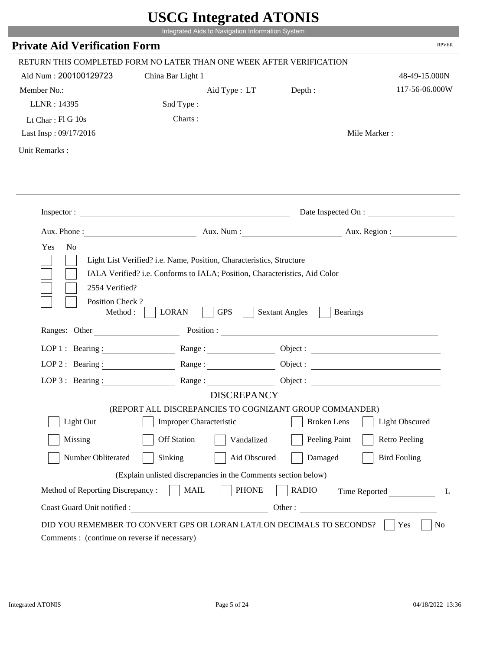| <b>Private Aid Verification Form</b><br>RETURN THIS COMPLETED FORM NO LATER THAN ONE WEEK AFTER VERIFICATION | Integrated Aids to Navigation Information System                                                                     |                                                        |                                               |
|--------------------------------------------------------------------------------------------------------------|----------------------------------------------------------------------------------------------------------------------|--------------------------------------------------------|-----------------------------------------------|
|                                                                                                              |                                                                                                                      |                                                        | <b>RPVER</b>                                  |
|                                                                                                              |                                                                                                                      |                                                        |                                               |
| Aid Num: 200100129723                                                                                        | China Bar Light 1                                                                                                    |                                                        | 48-49-15.000N                                 |
| Member No.:                                                                                                  | Aid Type : LT                                                                                                        | Depth:                                                 | 117-56-06.000W                                |
| LLNR: 14395                                                                                                  | Snd Type:                                                                                                            |                                                        |                                               |
| Lt Char: Fl G 10s                                                                                            | Charts:                                                                                                              |                                                        |                                               |
| Last Insp: 09/17/2016                                                                                        |                                                                                                                      |                                                        | Mile Marker:                                  |
| Unit Remarks:                                                                                                |                                                                                                                      |                                                        |                                               |
|                                                                                                              |                                                                                                                      |                                                        |                                               |
| Inspector:                                                                                                   | <u> 1980 - Johann Barbara, martxa alemaniar argametar a martxa a shekara a shekara a shekara a shekara a shekara</u> |                                                        | Date Inspected On :                           |
| Aux. Phone :                                                                                                 |                                                                                                                      | Aux. Num : Aux. Region :                               |                                               |
| 2554 Verified?<br>Position Check?<br>Method:<br>Ranges: Other                                                | <b>LORAN</b><br><b>GPS</b>                                                                                           | <b>Sextant Angles</b><br><b>Bearings</b><br>Position : |                                               |
|                                                                                                              |                                                                                                                      |                                                        |                                               |
|                                                                                                              |                                                                                                                      |                                                        |                                               |
| LOP 1 : Bearing :                                                                                            |                                                                                                                      |                                                        | Object :                                      |
| $LOP$ 2: Bearing :                                                                                           | Range:                                                                                                               |                                                        | Object :                                      |
| $LOP 3:$ Bearing :                                                                                           | $Range: \underline{\qquad \qquad }$                                                                                  | Object :                                               | <u> 1980 - Andrea Andrew Maria (h. 1980).</u> |
|                                                                                                              | <b>DISCREPANCY</b><br>(REPORT ALL DISCREPANCIES TO COGNIZANT GROUP COMMANDER)                                        |                                                        |                                               |
| Light Out                                                                                                    | <b>Improper Characteristic</b>                                                                                       | <b>Broken</b> Lens                                     | <b>Light Obscured</b>                         |
| Missing                                                                                                      | <b>Off Station</b><br>Vandalized                                                                                     | Peeling Paint                                          | <b>Retro Peeling</b>                          |
| Number Obliterated                                                                                           | Sinking<br>Aid Obscured                                                                                              | Damaged                                                | <b>Bird Fouling</b>                           |
|                                                                                                              | (Explain unlisted discrepancies in the Comments section below)                                                       |                                                        |                                               |
| Method of Reporting Discrepancy:                                                                             | <b>PHONE</b><br><b>MAIL</b>                                                                                          | <b>RADIO</b>                                           | Time Reported<br>L                            |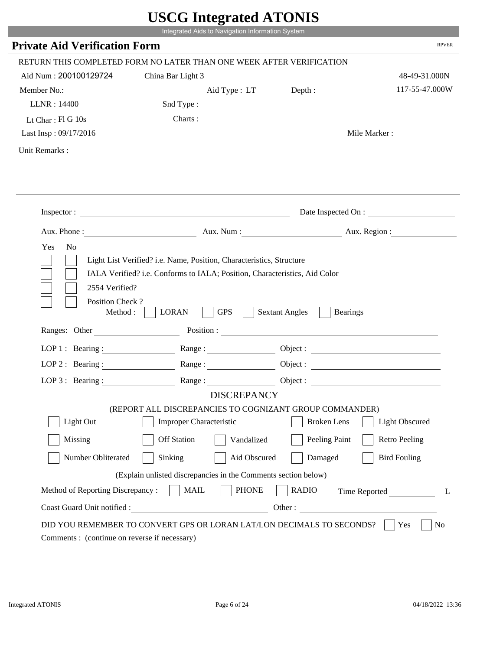|                                               | UDUU IIIIU ARUU ATUNID                                                |                              |                       |
|-----------------------------------------------|-----------------------------------------------------------------------|------------------------------|-----------------------|
|                                               | Integrated Aids to Navigation Information System                      |                              |                       |
| <b>Private Aid Verification Form</b>          |                                                                       |                              | <b>RPVER</b>          |
|                                               | RETURN THIS COMPLETED FORM NO LATER THAN ONE WEEK AFTER VERIFICATION  |                              |                       |
| Aid Num: 200100129724                         | China Bar Light 3                                                     |                              | 48-49-31.000N         |
| Member No.:                                   |                                                                       | Aid Type : LT Depth :        | 117-55-47.000W        |
| LLNR: 14400                                   | Snd Type:                                                             |                              |                       |
| Lt Char: Fl G 10s                             | Charts:                                                               |                              |                       |
| Last Insp: 09/17/2016                         |                                                                       |                              | Mile Marker:          |
| Unit Remarks:                                 |                                                                       |                              |                       |
|                                               |                                                                       |                              |                       |
| Inspector:                                    |                                                                       |                              | Date Inspected On :   |
|                                               |                                                                       |                              |                       |
| Aux. Phone :<br>Yes<br>N <sub>o</sub>         |                                                                       | Aux. Num: Aux. Region:       |                       |
| Position Check?<br>Method:                    | <b>LORAN</b><br><b>GPS</b><br>Ranges: Other Position : Position :     | <b>Sextant Angles</b>        | <b>Bearings</b>       |
| $LOP1:$ Bearing :                             | Range:                                                                |                              | Object :              |
| $LOP$ 2 : Bearing :                           | Range:                                                                |                              |                       |
| $LOP 3:$ Bearing:                             | Range : $\qquad \qquad$                                               |                              |                       |
|                                               | <b>DISCREPANCY</b>                                                    |                              |                       |
|                                               | (REPORT ALL DISCREPANCIES TO COGNIZANT GROUP COMMANDER)               |                              |                       |
| Light Out                                     | <b>Improper Characteristic</b>                                        | <b>Broken</b> Lens           | <b>Light Obscured</b> |
| Missing                                       | <b>Off Station</b>                                                    | Peeling Paint<br>Vandalized  | <b>Retro Peeling</b>  |
| Number Obliterated                            | Sinking                                                               | Aid Obscured<br>Damaged      | <b>Bird Fouling</b>   |
|                                               | (Explain unlisted discrepancies in the Comments section below)        |                              |                       |
| Method of Reporting Discrepancy:              | <b>MAIL</b>                                                           | <b>PHONE</b><br><b>RADIO</b> | Time Reported<br>L    |
| Coast Guard Unit notified :                   |                                                                       | Other:                       |                       |
|                                               | DID YOU REMEMBER TO CONVERT GPS OR LORAN LAT/LON DECIMALS TO SECONDS? |                              | Yes<br>No             |
| Comments : (continue on reverse if necessary) |                                                                       |                              |                       |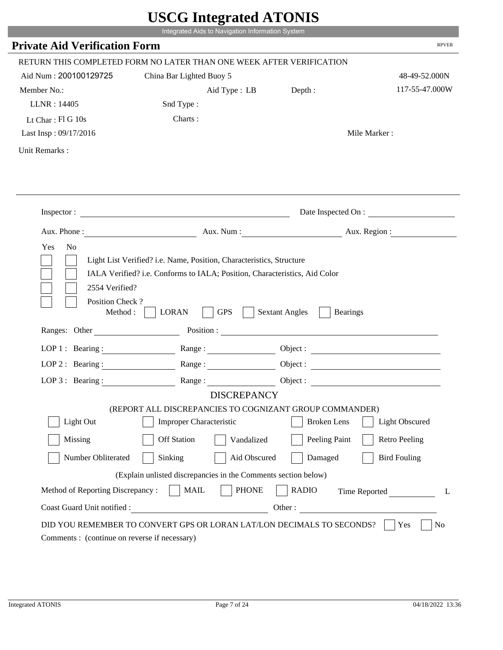|                                         |                                                                                                                                                    | UDUU IIIIU ARUU ATUNID  |                        |
|-----------------------------------------|----------------------------------------------------------------------------------------------------------------------------------------------------|-------------------------|------------------------|
|                                         | Integrated Aids to Navigation Information System                                                                                                   |                         |                        |
| <b>Private Aid Verification Form</b>    |                                                                                                                                                    |                         | <b>RPVER</b>           |
|                                         | RETURN THIS COMPLETED FORM NO LATER THAN ONE WEEK AFTER VERIFICATION                                                                               |                         |                        |
| Aid Num: 200100129725                   | China Bar Lighted Buoy 5                                                                                                                           |                         | 48-49-52.000N          |
| Member No.:                             |                                                                                                                                                    | Aid Type : LB Depth :   | 117-55-47.000W         |
| LLNR: 14405                             | Snd Type:                                                                                                                                          |                         |                        |
| Lt Char: Fl G 10s                       | Charts:                                                                                                                                            |                         |                        |
| Last Insp: 09/17/2016                   |                                                                                                                                                    |                         | Mile Marker:           |
| Unit Remarks:                           |                                                                                                                                                    |                         |                        |
|                                         |                                                                                                                                                    |                         |                        |
|                                         |                                                                                                                                                    |                         |                        |
| Inspector:                              |                                                                                                                                                    |                         | Date Inspected On :    |
| Aux. Phone :                            |                                                                                                                                                    |                         | Aux. Num: Aux. Region: |
| Yes<br>N <sub>o</sub><br>2554 Verified? | Light List Verified? i.e. Name, Position, Characteristics, Structure<br>IALA Verified? i.e. Conforms to IALA; Position, Characteristics, Aid Color |                         |                        |
| Position Check?<br>Method:              | <b>LORAN</b><br><b>GPS</b>                                                                                                                         | <b>Sextant Angles</b>   | <b>Bearings</b>        |
| Ranges: Other                           |                                                                                                                                                    | Position :              |                        |
| $LOP1:$ Bearing :                       | Range :                                                                                                                                            |                         | Object :               |
| $LOP$ 2 : Bearing :                     | Range:                                                                                                                                             |                         | Object :               |
| $LOP 3:$ Bearing :                      | Range : $\qquad \qquad$                                                                                                                            |                         |                        |
|                                         | <b>DISCREPANCY</b>                                                                                                                                 |                         |                        |
| Light Out                               | (REPORT ALL DISCREPANCIES TO COGNIZANT GROUP COMMANDER)<br><b>Improper Characteristic</b>                                                          | <b>Broken</b> Lens      | <b>Light Obscured</b>  |
|                                         |                                                                                                                                                    |                         |                        |
| Missing                                 | <b>Off Station</b><br>Vandalized                                                                                                                   | Peeling Paint           | <b>Retro Peeling</b>   |
| Number Obliterated                      | Sinking                                                                                                                                            | Aid Obscured<br>Damaged | <b>Bird Fouling</b>    |
|                                         | (Explain unlisted discrepancies in the Comments section below)                                                                                     |                         |                        |
| Method of Reporting Discrepancy:        | <b>MAIL</b><br><b>PHONE</b>                                                                                                                        | <b>RADIO</b>            | Time Reported<br>L     |